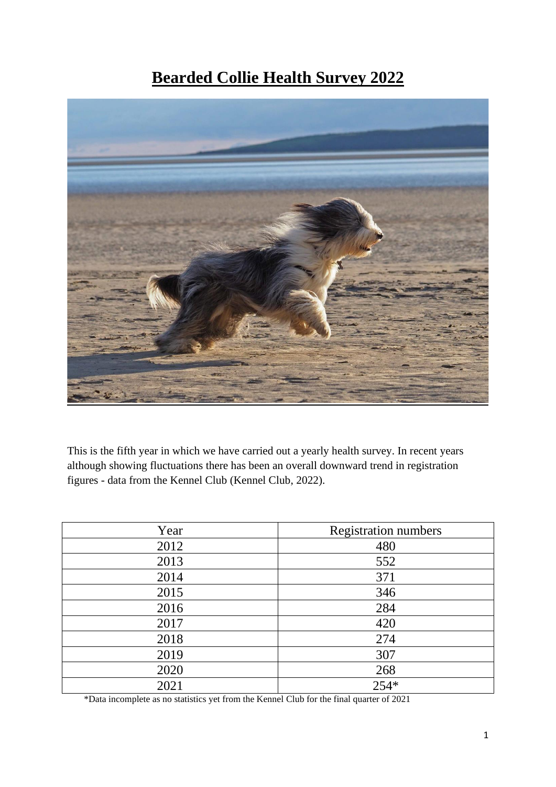# **Bearded Collie Health Survey 2022**



This is the fifth year in which we have carried out a yearly health survey. In recent years although showing fluctuations there has been an overall downward trend in registration figures - data from the Kennel Club (Kennel Club, 2022).

| Year | <b>Registration numbers</b> |
|------|-----------------------------|
| 2012 | 480                         |
| 2013 | 552                         |
| 2014 | 371                         |
| 2015 | 346                         |
| 2016 | 284                         |
| 2017 | 420                         |
| 2018 | 274                         |
| 2019 | 307                         |
| 2020 | 268                         |
| 2021 | 254*                        |

\*Data incomplete as no statistics yet from the Kennel Club for the final quarter of 2021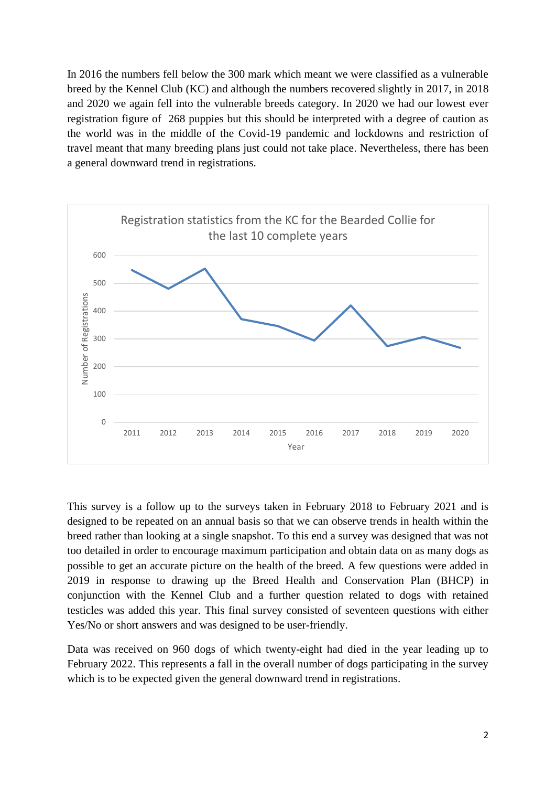In 2016 the numbers fell below the 300 mark which meant we were classified as a vulnerable breed by the Kennel Club (KC) and although the numbers recovered slightly in 2017, in 2018 and 2020 we again fell into the vulnerable breeds category. In 2020 we had our lowest ever registration figure of 268 puppies but this should be interpreted with a degree of caution as the world was in the middle of the Covid-19 pandemic and lockdowns and restriction of travel meant that many breeding plans just could not take place. Nevertheless, there has been a general downward trend in registrations.



This survey is a follow up to the surveys taken in February 2018 to February 2021 and is designed to be repeated on an annual basis so that we can observe trends in health within the breed rather than looking at a single snapshot. To this end a survey was designed that was not too detailed in order to encourage maximum participation and obtain data on as many dogs as possible to get an accurate picture on the health of the breed. A few questions were added in 2019 in response to drawing up the Breed Health and Conservation Plan (BHCP) in conjunction with the Kennel Club and a further question related to dogs with retained testicles was added this year. This final survey consisted of seventeen questions with either Yes/No or short answers and was designed to be user-friendly.

Data was received on 960 dogs of which twenty-eight had died in the year leading up to February 2022. This represents a fall in the overall number of dogs participating in the survey which is to be expected given the general downward trend in registrations.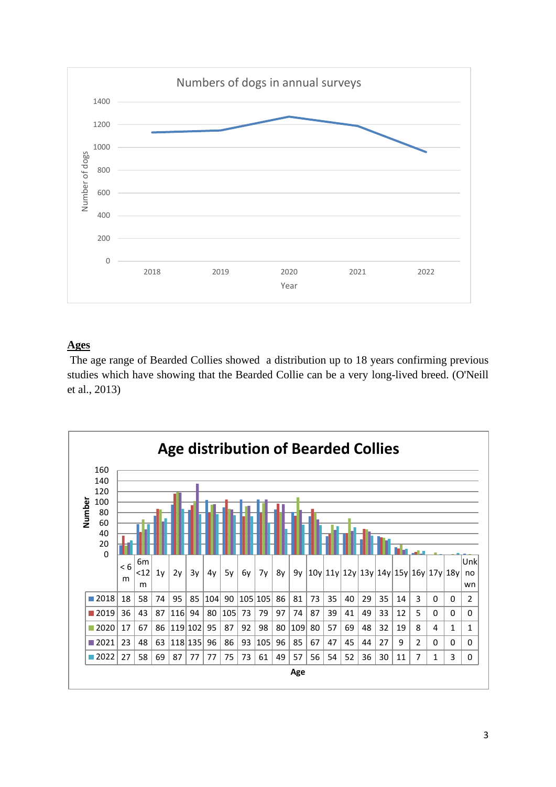

# **Ages**

The age range of Bearded Collies showed a distribution up to 18 years confirming previous studies which have showing that the Bearded Collie can be a very long-lived breed. (O'Neill et al., 2013)

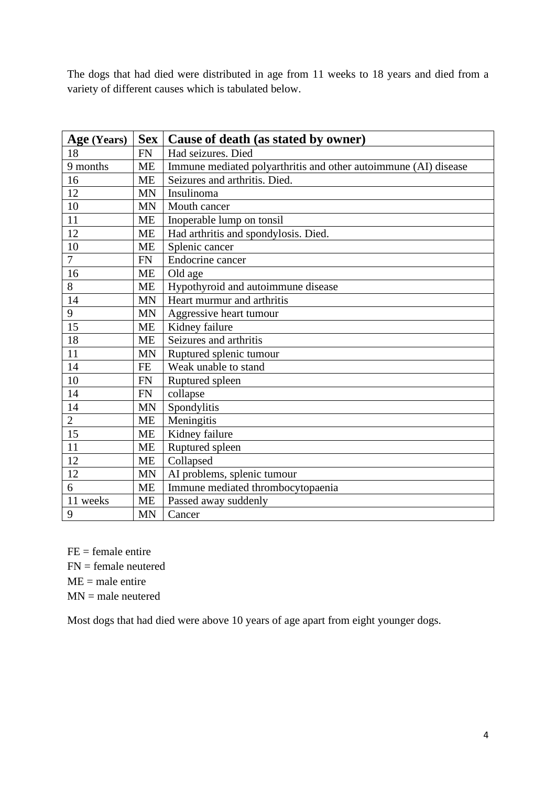The dogs that had died were distributed in age from 11 weeks to 18 years and died from a variety of different causes which is tabulated below.

| Age (Years)    | Sex       | Cause of death (as stated by owner)                             |
|----------------|-----------|-----------------------------------------------------------------|
| 18             | <b>FN</b> | Had seizures. Died                                              |
| 9 months       | <b>ME</b> | Immune mediated polyarthritis and other autoimmune (AI) disease |
| 16             | <b>ME</b> | Seizures and arthritis. Died.                                   |
| 12             | <b>MN</b> | Insulinoma                                                      |
| 10             | <b>MN</b> | Mouth cancer                                                    |
| 11             | <b>ME</b> | Inoperable lump on tonsil                                       |
| 12             | <b>ME</b> | Had arthritis and spondylosis. Died.                            |
| 10             | <b>ME</b> | Splenic cancer                                                  |
| $\overline{7}$ | <b>FN</b> | Endocrine cancer                                                |
| 16             | <b>ME</b> | Old age                                                         |
| 8              | <b>ME</b> | Hypothyroid and autoimmune disease                              |
| 14             | <b>MN</b> | Heart murmur and arthritis                                      |
| 9              | <b>MN</b> | Aggressive heart tumour                                         |
| 15             | ME        | Kidney failure                                                  |
| 18             | <b>ME</b> | Seizures and arthritis                                          |
| 11             | <b>MN</b> | Ruptured splenic tumour                                         |
| 14             | <b>FE</b> | Weak unable to stand                                            |
| 10             | <b>FN</b> | Ruptured spleen                                                 |
| 14             | <b>FN</b> | collapse                                                        |
| 14             | <b>MN</b> | Spondylitis                                                     |
| $\overline{2}$ | <b>ME</b> | Meningitis                                                      |
| 15             | <b>ME</b> | Kidney failure                                                  |
| 11             | <b>ME</b> | Ruptured spleen                                                 |
| 12             | <b>ME</b> | Collapsed                                                       |
| 12             | <b>MN</b> | AI problems, splenic tumour                                     |
| 6              | <b>ME</b> | Immune mediated thrombocytopaenia                               |
| 11 weeks       | <b>ME</b> | Passed away suddenly                                            |
| 9              | <b>MN</b> | Cancer                                                          |

 $FE = female$  entire FN = female neutered  $ME = male$  entire MN = male neutered

Most dogs that had died were above 10 years of age apart from eight younger dogs.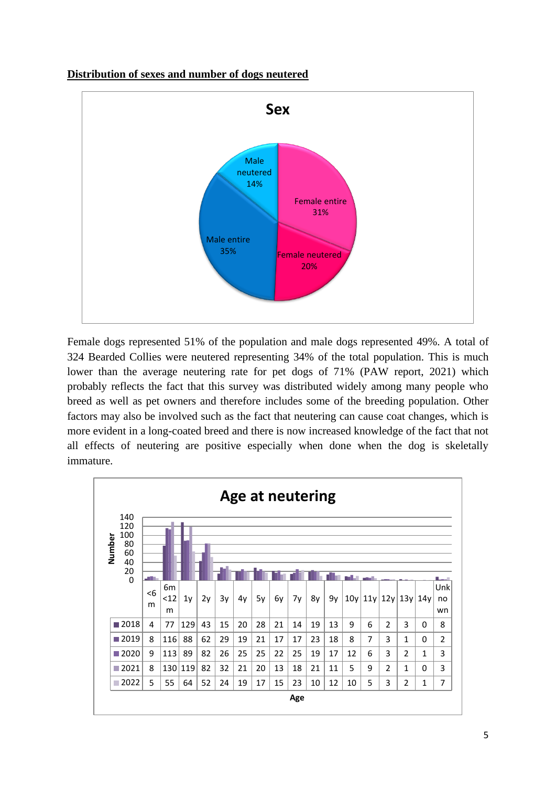# **Distribution of sexes and number of dogs neutered**



Female dogs represented 51% of the population and male dogs represented 49%. A total of 324 Bearded Collies were neutered representing 34% of the total population. This is much lower than the average neutering rate for pet dogs of 71% (PAW report, 2021) which probably reflects the fact that this survey was distributed widely among many people who breed as well as pet owners and therefore includes some of the breeding population. Other factors may also be involved such as the fact that neutering can cause coat changes, which is more evident in a long-coated breed and there is now increased knowledge of the fact that not all effects of neutering are positive especially when done when the dog is skeletally immature.

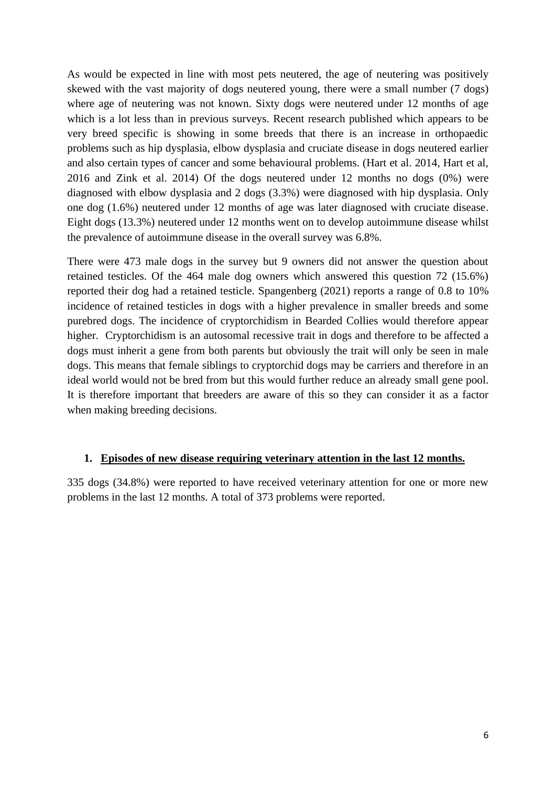As would be expected in line with most pets neutered, the age of neutering was positively skewed with the vast majority of dogs neutered young, there were a small number (7 dogs) where age of neutering was not known. Sixty dogs were neutered under 12 months of age which is a lot less than in previous surveys. Recent research published which appears to be very breed specific is showing in some breeds that there is an increase in orthopaedic problems such as hip dysplasia, elbow dysplasia and cruciate disease in dogs neutered earlier and also certain types of cancer and some behavioural problems. (Hart et al. 2014, Hart et al, 2016 and Zink et al. 2014) Of the dogs neutered under 12 months no dogs (0%) were diagnosed with elbow dysplasia and 2 dogs (3.3%) were diagnosed with hip dysplasia. Only one dog (1.6%) neutered under 12 months of age was later diagnosed with cruciate disease. Eight dogs (13.3%) neutered under 12 months went on to develop autoimmune disease whilst the prevalence of autoimmune disease in the overall survey was 6.8%.

There were 473 male dogs in the survey but 9 owners did not answer the question about retained testicles. Of the 464 male dog owners which answered this question 72 (15.6%) reported their dog had a retained testicle. Spangenberg (2021) reports a range of 0.8 to 10% incidence of retained testicles in dogs with a higher prevalence in smaller breeds and some purebred dogs. The incidence of cryptorchidism in Bearded Collies would therefore appear higher. Cryptorchidism is an autosomal recessive trait in dogs and therefore to be affected a dogs must inherit a gene from both parents but obviously the trait will only be seen in male dogs. This means that female siblings to cryptorchid dogs may be carriers and therefore in an ideal world would not be bred from but this would further reduce an already small gene pool. It is therefore important that breeders are aware of this so they can consider it as a factor when making breeding decisions.

# **1. Episodes of new disease requiring veterinary attention in the last 12 months.**

335 dogs (34.8%) were reported to have received veterinary attention for one or more new problems in the last 12 months. A total of 373 problems were reported.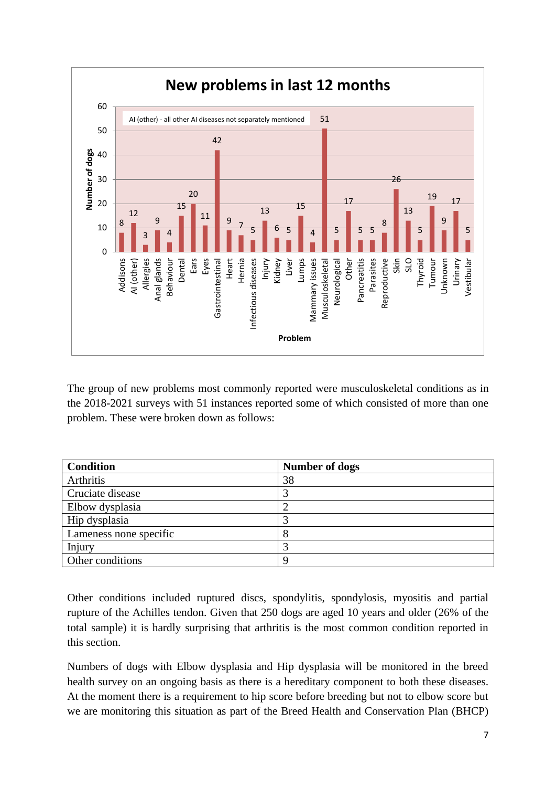

The group of new problems most commonly reported were musculoskeletal conditions as in the 2018-2021 surveys with 51 instances reported some of which consisted of more than one problem. These were broken down as follows:

| <b>Condition</b>       | Number of dogs |
|------------------------|----------------|
| Arthritis              | 38             |
| Cruciate disease       |                |
| Elbow dysplasia        |                |
| Hip dysplasia          |                |
| Lameness none specific | 8              |
| Injury                 | 2              |
| Other conditions       | a              |

Other conditions included ruptured discs, spondylitis, spondylosis, myositis and partial rupture of the Achilles tendon. Given that 250 dogs are aged 10 years and older (26% of the total sample) it is hardly surprising that arthritis is the most common condition reported in this section.

Numbers of dogs with Elbow dysplasia and Hip dysplasia will be monitored in the breed health survey on an ongoing basis as there is a hereditary component to both these diseases. At the moment there is a requirement to hip score before breeding but not to elbow score but we are monitoring this situation as part of the Breed Health and Conservation Plan (BHCP)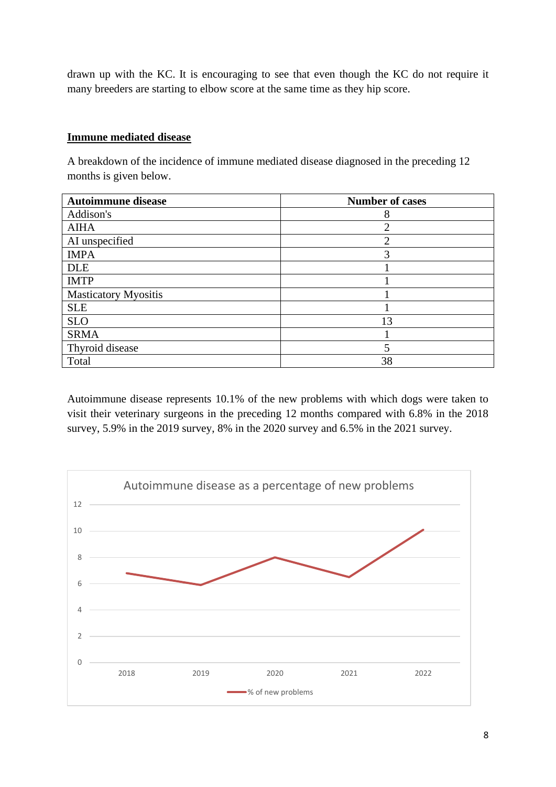drawn up with the KC. It is encouraging to see that even though the KC do not require it many breeders are starting to elbow score at the same time as they hip score.

## **Immune mediated disease**

A breakdown of the incidence of immune mediated disease diagnosed in the preceding 12 months is given below.

| <b>Autoimmune disease</b>   | <b>Number of cases</b> |
|-----------------------------|------------------------|
| Addison's                   | 8                      |
| <b>AIHA</b>                 | ◠                      |
| AI unspecified              | $\overline{2}$         |
| <b>IMPA</b>                 | 3                      |
| <b>DLE</b>                  |                        |
| <b>IMTP</b>                 |                        |
| <b>Masticatory Myositis</b> |                        |
| <b>SLE</b>                  |                        |
| <b>SLO</b>                  | 13                     |
| <b>SRMA</b>                 |                        |
| Thyroid disease             |                        |
| Total                       | 38                     |

Autoimmune disease represents 10.1% of the new problems with which dogs were taken to visit their veterinary surgeons in the preceding 12 months compared with 6.8% in the 2018 survey, 5.9% in the 2019 survey, 8% in the 2020 survey and 6.5% in the 2021 survey.

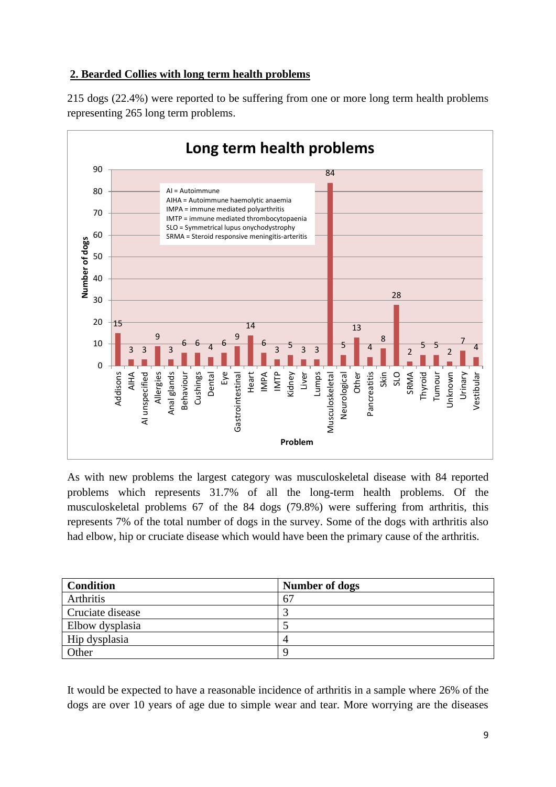# **2. Bearded Collies with long term health problems**

215 dogs (22.4%) were reported to be suffering from one or more long term health problems representing 265 long term problems.



As with new problems the largest category was musculoskeletal disease with 84 reported problems which represents 31.7% of all the long-term health problems. Of the musculoskeletal problems 67 of the 84 dogs (79.8%) were suffering from arthritis, this represents 7% of the total number of dogs in the survey. Some of the dogs with arthritis also had elbow, hip or cruciate disease which would have been the primary cause of the arthritis.

| <b>Condition</b> | Number of dogs |
|------------------|----------------|
| Arthritis        | 67             |
| Cruciate disease |                |
| Elbow dysplasia  |                |
| Hip dysplasia    |                |
| Other            | O              |

It would be expected to have a reasonable incidence of arthritis in a sample where 26% of the dogs are over 10 years of age due to simple wear and tear. More worrying are the diseases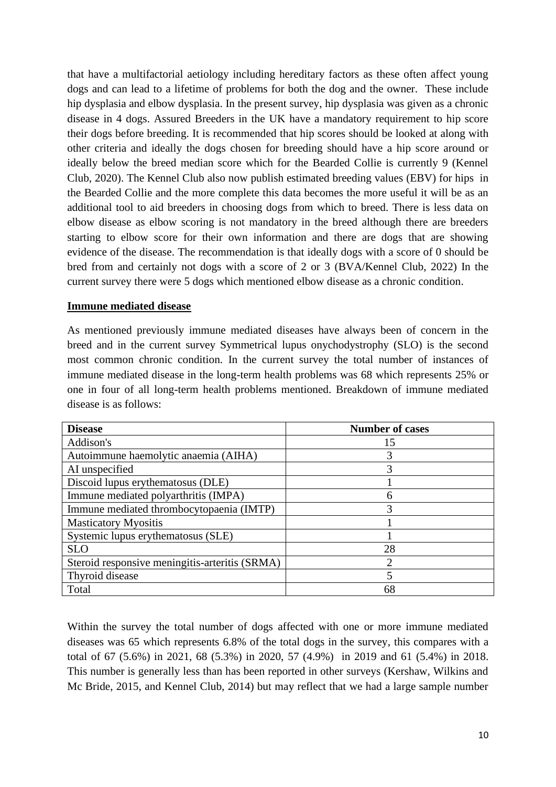that have a multifactorial aetiology including hereditary factors as these often affect young dogs and can lead to a lifetime of problems for both the dog and the owner. These include hip dysplasia and elbow dysplasia. In the present survey, hip dysplasia was given as a chronic disease in 4 dogs. Assured Breeders in the UK have a mandatory requirement to hip score their dogs before breeding. It is recommended that hip scores should be looked at along with other criteria and ideally the dogs chosen for breeding should have a hip score around or ideally below the breed median score which for the Bearded Collie is currently 9 (Kennel Club, 2020). The Kennel Club also now publish estimated breeding values (EBV) for hips in the Bearded Collie and the more complete this data becomes the more useful it will be as an additional tool to aid breeders in choosing dogs from which to breed. There is less data on elbow disease as elbow scoring is not mandatory in the breed although there are breeders starting to elbow score for their own information and there are dogs that are showing evidence of the disease. The recommendation is that ideally dogs with a score of 0 should be bred from and certainly not dogs with a score of 2 or 3 (BVA/Kennel Club, 2022) In the current survey there were 5 dogs which mentioned elbow disease as a chronic condition.

#### **Immune mediated disease**

As mentioned previously immune mediated diseases have always been of concern in the breed and in the current survey Symmetrical lupus onychodystrophy (SLO) is the second most common chronic condition. In the current survey the total number of instances of immune mediated disease in the long-term health problems was 68 which represents 25% or one in four of all long-term health problems mentioned. Breakdown of immune mediated disease is as follows:

| <b>Disease</b>                                 | <b>Number of cases</b> |
|------------------------------------------------|------------------------|
| Addison's                                      | 15                     |
| Autoimmune haemolytic anaemia (AIHA)           | 3                      |
| AI unspecified                                 | 3                      |
| Discoid lupus erythematosus (DLE)              |                        |
| Immune mediated polyarthritis (IMPA)           | h                      |
| Immune mediated thrombocytopaenia (IMTP)       | 3                      |
| <b>Masticatory Myositis</b>                    |                        |
| Systemic lupus erythematosus (SLE)             |                        |
| <b>SLO</b>                                     | 28                     |
| Steroid responsive meningitis-arteritis (SRMA) | റ                      |
| Thyroid disease                                | 5                      |
| Total                                          | 68                     |

Within the survey the total number of dogs affected with one or more immune mediated diseases was 65 which represents 6.8% of the total dogs in the survey, this compares with a total of 67 (5.6%) in 2021, 68 (5.3%) in 2020, 57 (4.9%) in 2019 and 61 (5.4%) in 2018. This number is generally less than has been reported in other surveys (Kershaw, Wilkins and Mc Bride, 2015, and Kennel Club, 2014) but may reflect that we had a large sample number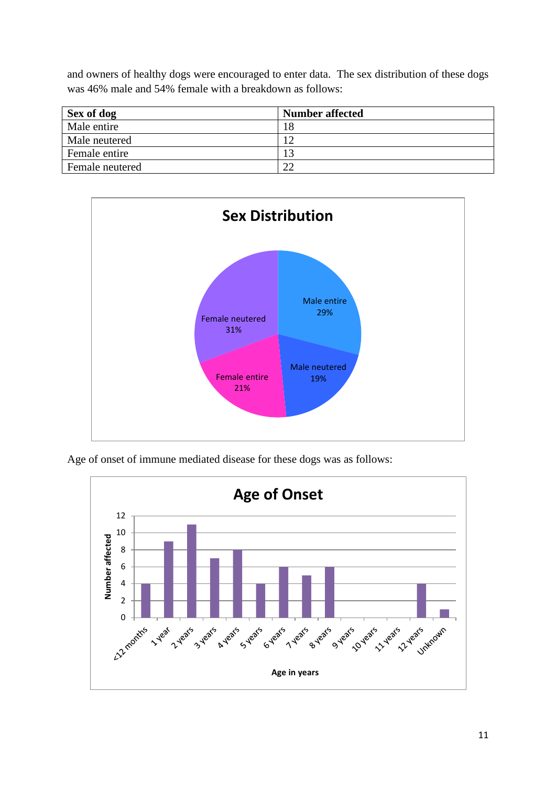and owners of healthy dogs were encouraged to enter data. The sex distribution of these dogs was 46% male and 54% female with a breakdown as follows:

| Sex of dog      | <b>Number affected</b> |
|-----------------|------------------------|
| Male entire     | 18                     |
| Male neutered   |                        |
| Female entire   | 13                     |
| Female neutered | າາ                     |



Age of onset of immune mediated disease for these dogs was as follows:

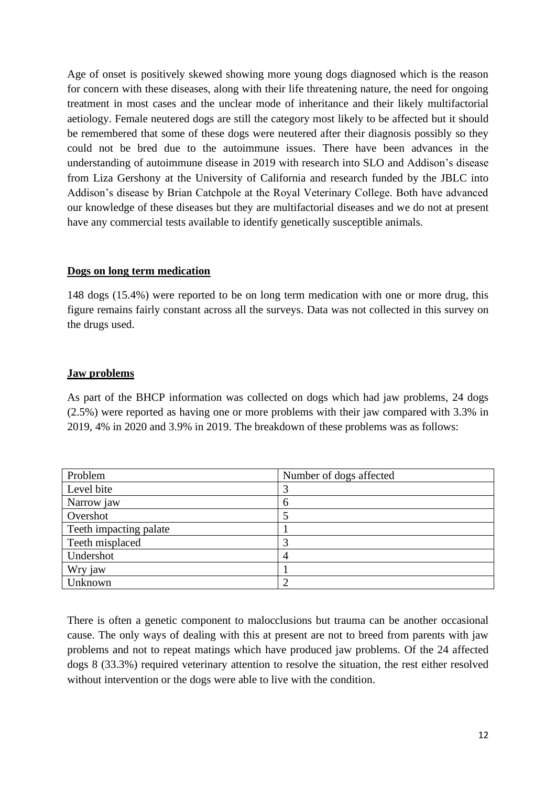Age of onset is positively skewed showing more young dogs diagnosed which is the reason for concern with these diseases, along with their life threatening nature, the need for ongoing treatment in most cases and the unclear mode of inheritance and their likely multifactorial aetiology. Female neutered dogs are still the category most likely to be affected but it should be remembered that some of these dogs were neutered after their diagnosis possibly so they could not be bred due to the autoimmune issues. There have been advances in the understanding of autoimmune disease in 2019 with research into SLO and Addison's disease from Liza Gershony at the University of California and research funded by the JBLC into Addison's disease by Brian Catchpole at the Royal Veterinary College. Both have advanced our knowledge of these diseases but they are multifactorial diseases and we do not at present have any commercial tests available to identify genetically susceptible animals.

# **Dogs on long term medication**

148 dogs (15.4%) were reported to be on long term medication with one or more drug, this figure remains fairly constant across all the surveys. Data was not collected in this survey on the drugs used.

# **Jaw problems**

As part of the BHCP information was collected on dogs which had jaw problems, 24 dogs (2.5%) were reported as having one or more problems with their jaw compared with 3.3% in 2019, 4% in 2020 and 3.9% in 2019. The breakdown of these problems was as follows:

| Problem                | Number of dogs affected |
|------------------------|-------------------------|
| Level bite             | 3                       |
| Narrow jaw             | 6                       |
| Overshot               |                         |
| Teeth impacting palate |                         |
| Teeth misplaced        | 3                       |
| Undershot              | 4                       |
| Wry jaw                |                         |
| Unknown                |                         |

There is often a genetic component to malocclusions but trauma can be another occasional cause. The only ways of dealing with this at present are not to breed from parents with jaw problems and not to repeat matings which have produced jaw problems. Of the 24 affected dogs 8 (33.3%) required veterinary attention to resolve the situation, the rest either resolved without intervention or the dogs were able to live with the condition.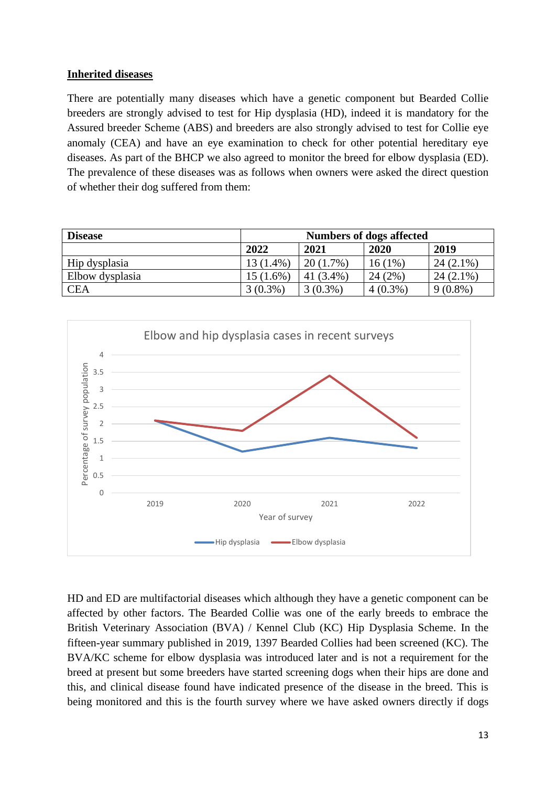# **Inherited diseases**

There are potentially many diseases which have a genetic component but Bearded Collie breeders are strongly advised to test for Hip dysplasia (HD), indeed it is mandatory for the Assured breeder Scheme (ABS) and breeders are also strongly advised to test for Collie eye anomaly (CEA) and have an eye examination to check for other potential hereditary eye diseases. As part of the BHCP we also agreed to monitor the breed for elbow dysplasia (ED). The prevalence of these diseases was as follows when owners were asked the direct question of whether their dog suffered from them:

| <b>Disease</b>  | <b>Numbers of dogs affected</b> |              |            |             |  |
|-----------------|---------------------------------|--------------|------------|-------------|--|
|                 | 2022                            | 2021         | 2020       | 2019        |  |
| Hip dysplasia   | 13 (1.4%)                       | $20(1.7\%)$  | 16 (1%)    | $24(2.1\%)$ |  |
| Elbow dysplasia | $15(1.6\%)$                     | 41 $(3.4\%)$ | 24(2%)     | $24(2.1\%)$ |  |
| <b>CEA</b>      | $3(0.3\%)$                      | $3(0.3\%)$   | $4(0.3\%)$ | $9(0.8\%)$  |  |



HD and ED are multifactorial diseases which although they have a genetic component can be affected by other factors. The Bearded Collie was one of the early breeds to embrace the British Veterinary Association (BVA) / Kennel Club (KC) Hip Dysplasia Scheme. In the fifteen-year summary published in 2019, 1397 Bearded Collies had been screened (KC). The BVA/KC scheme for elbow dysplasia was introduced later and is not a requirement for the breed at present but some breeders have started screening dogs when their hips are done and this, and clinical disease found have indicated presence of the disease in the breed. This is being monitored and this is the fourth survey where we have asked owners directly if dogs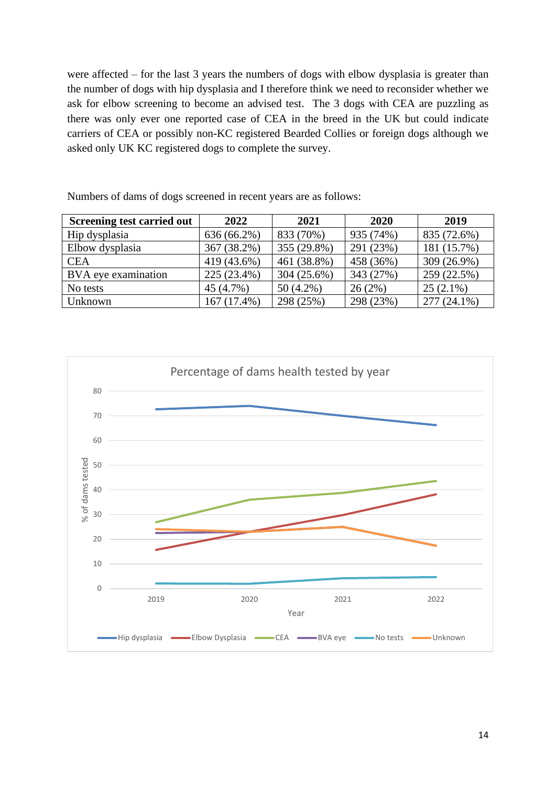were affected – for the last 3 years the numbers of dogs with elbow dysplasia is greater than the number of dogs with hip dysplasia and I therefore think we need to reconsider whether we ask for elbow screening to become an advised test. The 3 dogs with CEA are puzzling as there was only ever one reported case of CEA in the breed in the UK but could indicate carriers of CEA or possibly non-KC registered Bearded Collies or foreign dogs although we asked only UK KC registered dogs to complete the survey.

| <b>Screening test carried out</b> | 2022        | 2021          | 2020      | 2019        |
|-----------------------------------|-------------|---------------|-----------|-------------|
| Hip dysplasia                     | 636 (66.2%) | 833 (70%)     | 935 (74%) | 835 (72.6%) |
| Elbow dysplasia                   | 367 (38.2%) | 355 (29.8%)   | 291 (23%) | 181 (15.7%) |
| <b>CEA</b>                        | 419 (43.6%) | 461 (38.8%)   | 458 (36%) | 309 (26.9%) |
| BVA eye examination               | 225 (23.4%) | $304(25.6\%)$ | 343 (27%) | 259 (22.5%) |
| No tests                          | 45 (4.7%)   | $50(4.2\%)$   | 26(2%)    | $25(2.1\%)$ |
| Unknown                           | 167 (17.4%) | 298 (25%)     | 298 (23%) | 277 (24.1%) |

Numbers of dams of dogs screened in recent years are as follows:

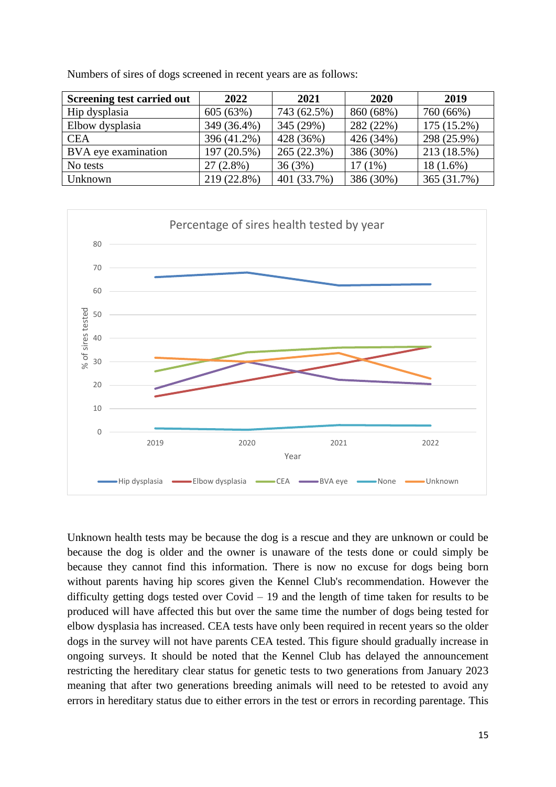| Screening test carried out | 2022        | 2021        | 2020      | 2019          |
|----------------------------|-------------|-------------|-----------|---------------|
| Hip dysplasia              | 605 (63%)   | 743 (62.5%) | 860 (68%) | 760 (66%)     |
| Elbow dysplasia            | 349 (36.4%) | 345 (29%)   | 282 (22%) | $175(15.2\%)$ |
| <b>CEA</b>                 | 396 (41.2%) | 428 (36%)   | 426 (34%) | 298 (25.9%)   |
| BVA eye examination        | 197 (20.5%) | 265 (22.3%) | 386 (30%) | 213 (18.5%)   |
| No tests                   | $27(2.8\%)$ | 36(3%)      | $17(1\%)$ | $18(1.6\%)$   |
| Unknown                    | 219 (22.8%) | 401 (33.7%) | 386 (30%) | 365 (31.7%)   |

Numbers of sires of dogs screened in recent years are as follows:



Unknown health tests may be because the dog is a rescue and they are unknown or could be because the dog is older and the owner is unaware of the tests done or could simply be because they cannot find this information. There is now no excuse for dogs being born without parents having hip scores given the Kennel Club's recommendation. However the difficulty getting dogs tested over Covid – 19 and the length of time taken for results to be produced will have affected this but over the same time the number of dogs being tested for elbow dysplasia has increased. CEA tests have only been required in recent years so the older dogs in the survey will not have parents CEA tested. This figure should gradually increase in ongoing surveys. It should be noted that the Kennel Club has delayed the announcement restricting the hereditary clear status for genetic tests to two generations from January 2023 meaning that after two generations breeding animals will need to be retested to avoid any errors in hereditary status due to either errors in the test or errors in recording parentage. This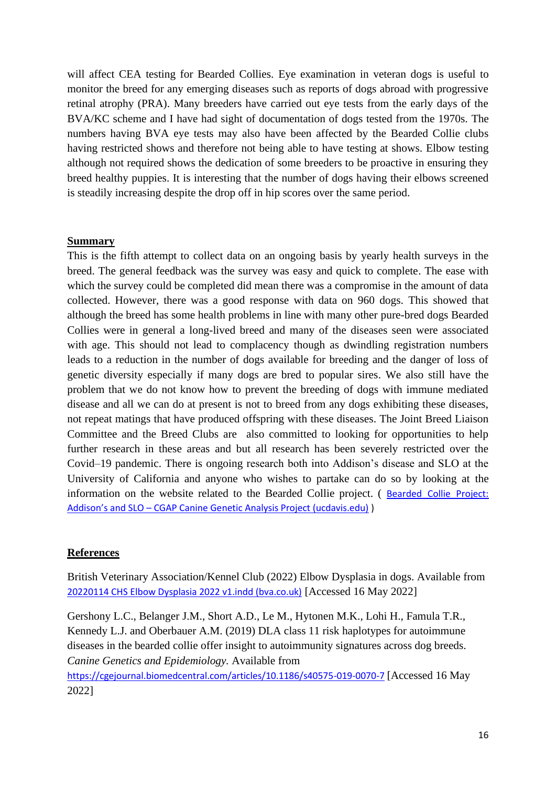will affect CEA testing for Bearded Collies. Eye examination in veteran dogs is useful to monitor the breed for any emerging diseases such as reports of dogs abroad with progressive retinal atrophy (PRA). Many breeders have carried out eye tests from the early days of the BVA/KC scheme and I have had sight of documentation of dogs tested from the 1970s. The numbers having BVA eye tests may also have been affected by the Bearded Collie clubs having restricted shows and therefore not being able to have testing at shows. Elbow testing although not required shows the dedication of some breeders to be proactive in ensuring they breed healthy puppies. It is interesting that the number of dogs having their elbows screened is steadily increasing despite the drop off in hip scores over the same period.

#### **Summary**

This is the fifth attempt to collect data on an ongoing basis by yearly health surveys in the breed. The general feedback was the survey was easy and quick to complete. The ease with which the survey could be completed did mean there was a compromise in the amount of data collected. However, there was a good response with data on 960 dogs. This showed that although the breed has some health problems in line with many other pure-bred dogs Bearded Collies were in general a long-lived breed and many of the diseases seen were associated with age. This should not lead to complacency though as dwindling registration numbers leads to a reduction in the number of dogs available for breeding and the danger of loss of genetic diversity especially if many dogs are bred to popular sires. We also still have the problem that we do not know how to prevent the breeding of dogs with immune mediated disease and all we can do at present is not to breed from any dogs exhibiting these diseases, not repeat matings that have produced offspring with these diseases. The Joint Breed Liaison Committee and the Breed Clubs are also committed to looking for opportunities to help further research in these areas and but all research has been severely restricted over the Covid–19 pandemic. There is ongoing research both into Addison's disease and SLO at the University of California and anyone who wishes to partake can do so by looking at the information on the website related to the Bearded Collie project. ( [Bearded Collie Project:](https://cgap.ucdavis.edu/bearded-collie-project-addisons-and-slo/)  Addison's and SLO – [CGAP Canine Genetic Analysis Project \(ucdavis.edu\)](https://cgap.ucdavis.edu/bearded-collie-project-addisons-and-slo/) )

#### **References**

British Veterinary Association/Kennel Club (2022) Elbow Dysplasia in dogs. Available from [20220114 CHS Elbow Dysplasia 2022 v1.indd \(bva.co.uk\)](https://www.bva.co.uk/media/4508/chs-elbow-dysplasia-leaflet-2022-read.pdf) [Accessed 16 May 2022]

Gershony L.C., Belanger J.M., Short A.D., Le M., Hytonen M.K., Lohi H., Famula T.R., Kennedy L.J. and Oberbauer A.M. (2019) DLA class 11 risk haplotypes for autoimmune diseases in the bearded collie offer insight to autoimmunity signatures across dog breeds. *Canine Genetics and Epidemiology.* Available from

<https://cgejournal.biomedcentral.com/articles/10.1186/s40575-019-0070-7> [Accessed 16 May 2022]